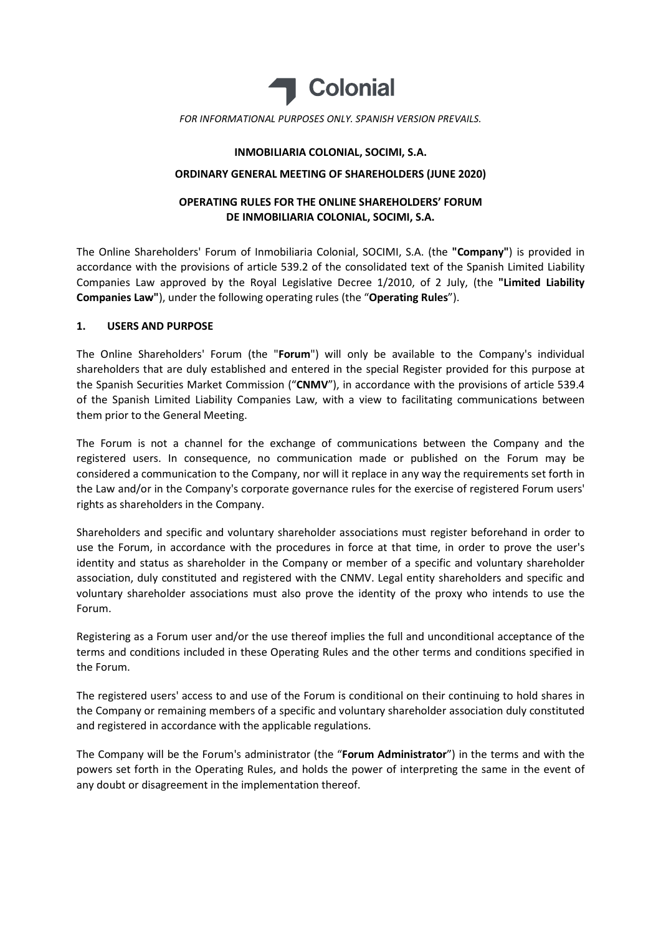

#### INMOBILIARIA COLONIAL, SOCIMI, S.A.

#### ORDINARY GENERAL MEETING OF SHAREHOLDERS (JUNE 2020)

# OPERATING RULES FOR THE ONLINE SHAREHOLDERS' FORUM DE INMOBILIARIA COLONIAL, SOCIMI, S.A.

The Online Shareholders' Forum of Inmobiliaria Colonial, SOCIMI, S.A. (the "Company") is provided in accordance with the provisions of article 539.2 of the consolidated text of the Spanish Limited Liability Companies Law approved by the Royal Legislative Decree 1/2010, of 2 July, (the "Limited Liability Companies Law"), under the following operating rules (the "Operating Rules").

### 1. USERS AND PURPOSE

The Online Shareholders' Forum (the "Forum") will only be available to the Company's individual shareholders that are duly established and entered in the special Register provided for this purpose at the Spanish Securities Market Commission ("CNMV"), in accordance with the provisions of article 539.4 of the Spanish Limited Liability Companies Law, with a view to facilitating communications between them prior to the General Meeting.

The Forum is not a channel for the exchange of communications between the Company and the registered users. In consequence, no communication made or published on the Forum may be considered a communication to the Company, nor will it replace in any way the requirements set forth in the Law and/or in the Company's corporate governance rules for the exercise of registered Forum users' rights as shareholders in the Company.

Shareholders and specific and voluntary shareholder associations must register beforehand in order to use the Forum, in accordance with the procedures in force at that time, in order to prove the user's identity and status as shareholder in the Company or member of a specific and voluntary shareholder association, duly constituted and registered with the CNMV. Legal entity shareholders and specific and voluntary shareholder associations must also prove the identity of the proxy who intends to use the Forum.

Registering as a Forum user and/or the use thereof implies the full and unconditional acceptance of the terms and conditions included in these Operating Rules and the other terms and conditions specified in the Forum.

The registered users' access to and use of the Forum is conditional on their continuing to hold shares in the Company or remaining members of a specific and voluntary shareholder association duly constituted and registered in accordance with the applicable regulations.

The Company will be the Forum's administrator (the "Forum Administrator") in the terms and with the powers set forth in the Operating Rules, and holds the power of interpreting the same in the event of any doubt or disagreement in the implementation thereof.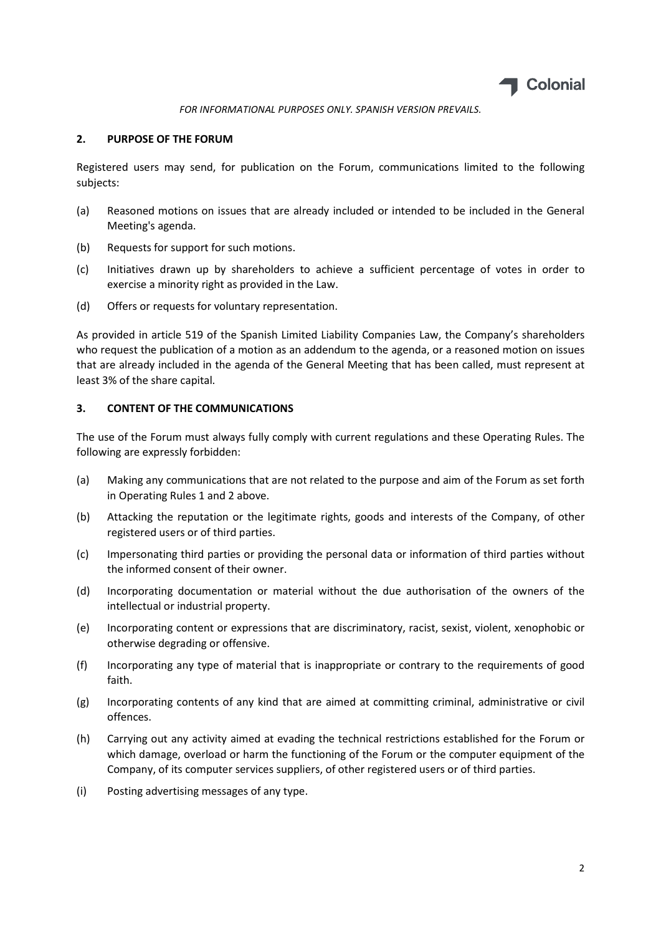

### 2. PURPOSE OF THE FORUM

Registered users may send, for publication on the Forum, communications limited to the following subjects:

- (a) Reasoned motions on issues that are already included or intended to be included in the General Meeting's agenda.
- (b) Requests for support for such motions.
- (c) Initiatives drawn up by shareholders to achieve a sufficient percentage of votes in order to exercise a minority right as provided in the Law.
- (d) Offers or requests for voluntary representation.

As provided in article 519 of the Spanish Limited Liability Companies Law, the Company's shareholders who request the publication of a motion as an addendum to the agenda, or a reasoned motion on issues that are already included in the agenda of the General Meeting that has been called, must represent at least 3% of the share capital.

## 3. CONTENT OF THE COMMUNICATIONS

The use of the Forum must always fully comply with current regulations and these Operating Rules. The following are expressly forbidden:

- (a) Making any communications that are not related to the purpose and aim of the Forum as set forth in Operating Rules 1 and 2 above.
- (b) Attacking the reputation or the legitimate rights, goods and interests of the Company, of other registered users or of third parties.
- (c) Impersonating third parties or providing the personal data or information of third parties without the informed consent of their owner.
- (d) Incorporating documentation or material without the due authorisation of the owners of the intellectual or industrial property.
- (e) Incorporating content or expressions that are discriminatory, racist, sexist, violent, xenophobic or otherwise degrading or offensive.
- (f) Incorporating any type of material that is inappropriate or contrary to the requirements of good faith.
- (g) Incorporating contents of any kind that are aimed at committing criminal, administrative or civil offences.
- (h) Carrying out any activity aimed at evading the technical restrictions established for the Forum or which damage, overload or harm the functioning of the Forum or the computer equipment of the Company, of its computer services suppliers, of other registered users or of third parties.
- (i) Posting advertising messages of any type.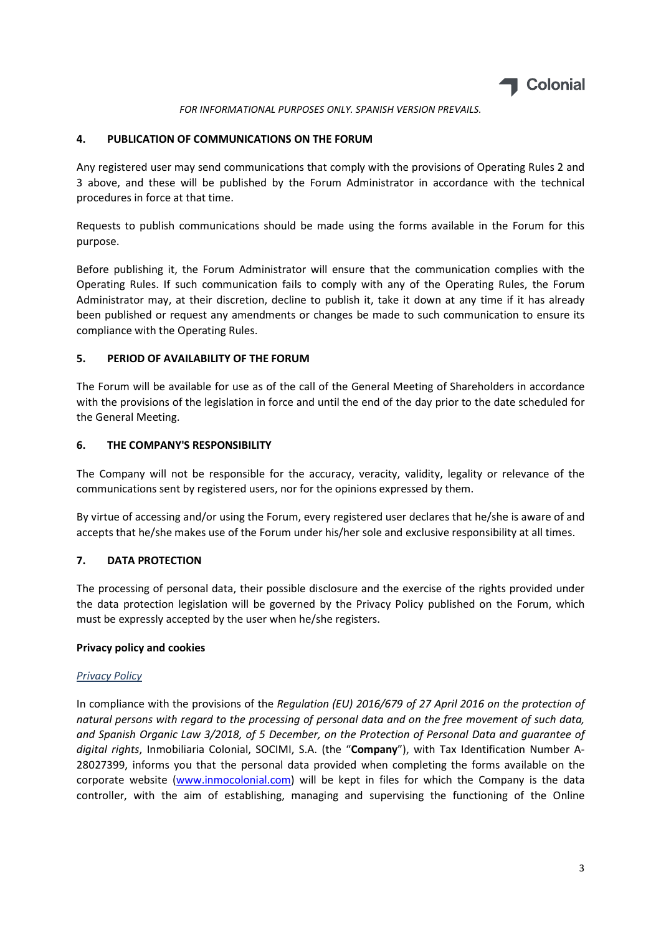

### 4. PUBLICATION OF COMMUNICATIONS ON THE FORUM

Any registered user may send communications that comply with the provisions of Operating Rules 2 and 3 above, and these will be published by the Forum Administrator in accordance with the technical procedures in force at that time.

Requests to publish communications should be made using the forms available in the Forum for this purpose.

Before publishing it, the Forum Administrator will ensure that the communication complies with the Operating Rules. If such communication fails to comply with any of the Operating Rules, the Forum Administrator may, at their discretion, decline to publish it, take it down at any time if it has already been published or request any amendments or changes be made to such communication to ensure its compliance with the Operating Rules.

### 5. PERIOD OF AVAILABILITY OF THE FORUM

The Forum will be available for use as of the call of the General Meeting of Shareholders in accordance with the provisions of the legislation in force and until the end of the day prior to the date scheduled for the General Meeting.

### 6. THE COMPANY'S RESPONSIBILITY

The Company will not be responsible for the accuracy, veracity, validity, legality or relevance of the communications sent by registered users, nor for the opinions expressed by them.

By virtue of accessing and/or using the Forum, every registered user declares that he/she is aware of and accepts that he/she makes use of the Forum under his/her sole and exclusive responsibility at all times.

## 7. DATA PROTECTION

The processing of personal data, their possible disclosure and the exercise of the rights provided under the data protection legislation will be governed by the Privacy Policy published on the Forum, which must be expressly accepted by the user when he/she registers.

#### Privacy policy and cookies

#### Privacy Policy

In compliance with the provisions of the Regulation (EU) 2016/679 of 27 April 2016 on the protection of natural persons with regard to the processing of personal data and on the free movement of such data, and Spanish Organic Law 3/2018, of 5 December, on the Protection of Personal Data and guarantee of digital rights, Inmobiliaria Colonial, SOCIMI, S.A. (the "Company"), with Tax Identification Number A-28027399, informs you that the personal data provided when completing the forms available on the corporate website (www.inmocolonial.com) will be kept in files for which the Company is the data controller, with the aim of establishing, managing and supervising the functioning of the Online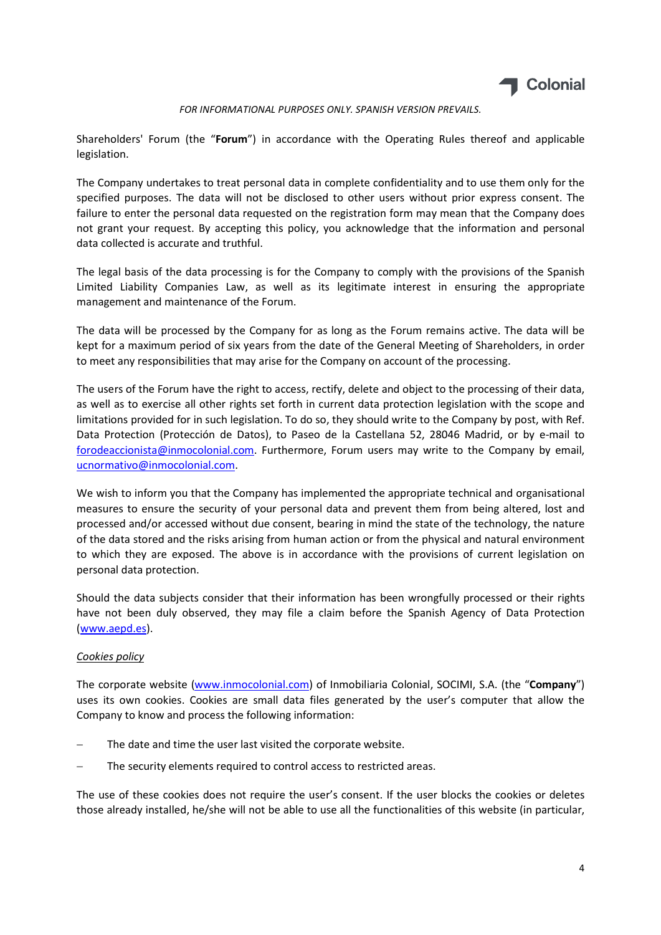

Shareholders' Forum (the "Forum") in accordance with the Operating Rules thereof and applicable legislation.

The Company undertakes to treat personal data in complete confidentiality and to use them only for the specified purposes. The data will not be disclosed to other users without prior express consent. The failure to enter the personal data requested on the registration form may mean that the Company does not grant your request. By accepting this policy, you acknowledge that the information and personal data collected is accurate and truthful.

The legal basis of the data processing is for the Company to comply with the provisions of the Spanish Limited Liability Companies Law, as well as its legitimate interest in ensuring the appropriate management and maintenance of the Forum.

The data will be processed by the Company for as long as the Forum remains active. The data will be kept for a maximum period of six years from the date of the General Meeting of Shareholders, in order to meet any responsibilities that may arise for the Company on account of the processing.

The users of the Forum have the right to access, rectify, delete and object to the processing of their data, as well as to exercise all other rights set forth in current data protection legislation with the scope and limitations provided for in such legislation. To do so, they should write to the Company by post, with Ref. Data Protection (Protección de Datos), to Paseo de la Castellana 52, 28046 Madrid, or by e-mail to forodeaccionista@inmocolonial.com. Furthermore, Forum users may write to the Company by email, ucnormativo@inmocolonial.com.

We wish to inform you that the Company has implemented the appropriate technical and organisational measures to ensure the security of your personal data and prevent them from being altered, lost and processed and/or accessed without due consent, bearing in mind the state of the technology, the nature of the data stored and the risks arising from human action or from the physical and natural environment to which they are exposed. The above is in accordance with the provisions of current legislation on personal data protection.

Should the data subjects consider that their information has been wrongfully processed or their rights have not been duly observed, they may file a claim before the Spanish Agency of Data Protection (www.aepd.es).

## Cookies policy

The corporate website (www.inmocolonial.com) of Inmobiliaria Colonial, SOCIMI, S.A. (the "Company") uses its own cookies. Cookies are small data files generated by the user's computer that allow the Company to know and process the following information:

- The date and time the user last visited the corporate website.
- The security elements required to control access to restricted areas.

The use of these cookies does not require the user's consent. If the user blocks the cookies or deletes those already installed, he/she will not be able to use all the functionalities of this website (in particular,